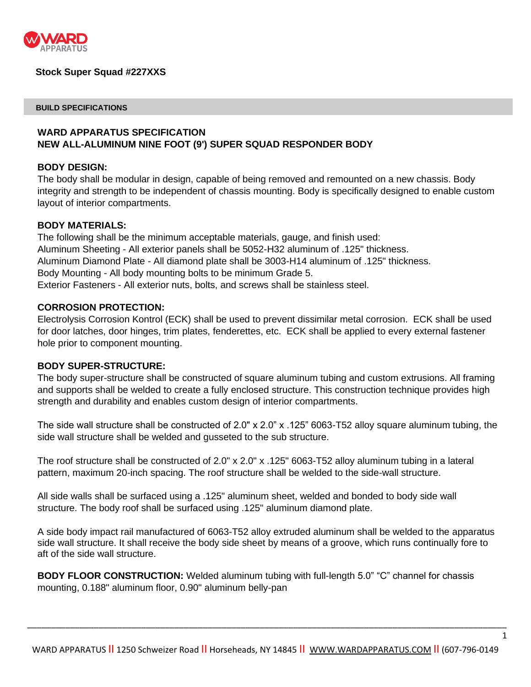

## **Stock Super Squad #227XXS**

#### **BUILD SPECIFICATIONS**

# **WARD APPARATUS SPECIFICATION NEW ALL-ALUMINUM NINE FOOT (9') SUPER SQUAD RESPONDER BODY**

#### **BODY DESIGN:**

The body shall be modular in design, capable of being removed and remounted on a new chassis. Body integrity and strength to be independent of chassis mounting. Body is specifically designed to enable custom layout of interior compartments.

# **BODY MATERIALS:**

The following shall be the minimum acceptable materials, gauge, and finish used: Aluminum Sheeting - All exterior panels shall be 5052-H32 aluminum of .125" thickness. Aluminum Diamond Plate - All diamond plate shall be 3003-H14 aluminum of .125" thickness. Body Mounting - All body mounting bolts to be minimum Grade 5. Exterior Fasteners - All exterior nuts, bolts, and screws shall be stainless steel.

### **CORROSION PROTECTION:**

Electrolysis Corrosion Kontrol (ECK) shall be used to prevent dissimilar metal corrosion. ECK shall be used for door latches, door hinges, trim plates, fenderettes, etc. ECK shall be applied to every external fastener hole prior to component mounting.

#### **BODY SUPER-STRUCTURE:**

The body super-structure shall be constructed of square aluminum tubing and custom extrusions. All framing and supports shall be welded to create a fully enclosed structure. This construction technique provides high strength and durability and enables custom design of interior compartments.

The side wall structure shall be constructed of  $2.0" \times 2.0" \times 125"$  6063-T52 alloy square aluminum tubing, the side wall structure shall be welded and gusseted to the sub structure.

The roof structure shall be constructed of 2.0" x 2.0" x .125" 6063-T52 alloy aluminum tubing in a lateral pattern, maximum 20-inch spacing. The roof structure shall be welded to the side-wall structure.

All side walls shall be surfaced using a .125" aluminum sheet, welded and bonded to body side wall structure. The body roof shall be surfaced using .125" aluminum diamond plate.

A side body impact rail manufactured of 6063-T52 alloy extruded aluminum shall be welded to the apparatus side wall structure. It shall receive the body side sheet by means of a groove, which runs continually fore to aft of the side wall structure.

**BODY FLOOR CONSTRUCTION:** Welded aluminum tubing with full-length 5.0" "C" channel for chassis mounting, 0.188" aluminum floor, 0.90" aluminum belly-pan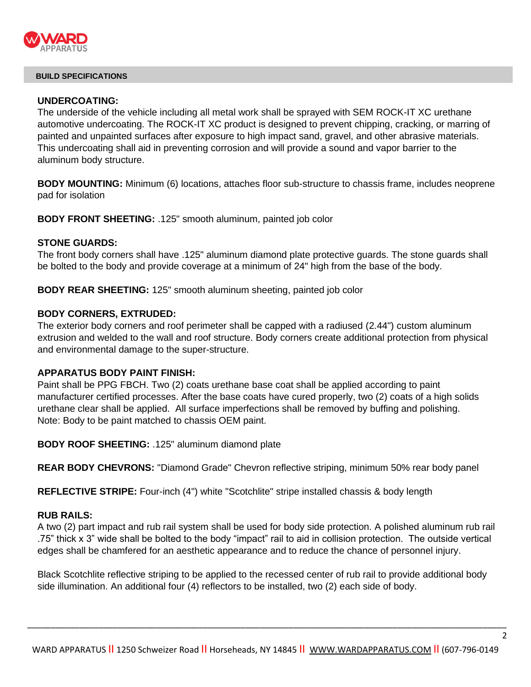

## **UNDERCOATING:**

The underside of the vehicle including all metal work shall be sprayed with SEM ROCK-IT XC urethane automotive undercoating. The ROCK-IT XC product is designed to prevent chipping, cracking, or marring of painted and unpainted surfaces after exposure to high impact sand, gravel, and other abrasive materials. This undercoating shall aid in preventing corrosion and will provide a sound and vapor barrier to the aluminum body structure.

**BODY MOUNTING:** Minimum (6) locations, attaches floor sub-structure to chassis frame, includes neoprene pad for isolation

**BODY FRONT SHEETING:** .125" smooth aluminum, painted job color

## **STONE GUARDS:**

The front body corners shall have .125" aluminum diamond plate protective guards. The stone guards shall be bolted to the body and provide coverage at a minimum of 24" high from the base of the body.

**BODY REAR SHEETING:** 125" smooth aluminum sheeting, painted job color

## **BODY CORNERS, EXTRUDED:**

The exterior body corners and roof perimeter shall be capped with a radiused (2.44") custom aluminum extrusion and welded to the wall and roof structure. Body corners create additional protection from physical and environmental damage to the super-structure.

## **APPARATUS BODY PAINT FINISH:**

Paint shall be PPG FBCH. Two (2) coats urethane base coat shall be applied according to paint manufacturer certified processes. After the base coats have cured properly, two (2) coats of a high solids urethane clear shall be applied. All surface imperfections shall be removed by buffing and polishing. Note: Body to be paint matched to chassis OEM paint.

**BODY ROOF SHEETING:** .125" aluminum diamond plate

**REAR BODY CHEVRONS:** "Diamond Grade" Chevron reflective striping, minimum 50% rear body panel

**REFLECTIVE STRIPE:** Four-inch (4") white "Scotchlite" stripe installed chassis & body length

# **RUB RAILS:**

A two (2) part impact and rub rail system shall be used for body side protection. A polished aluminum rub rail .75" thick x 3" wide shall be bolted to the body "impact" rail to aid in collision protection. The outside vertical edges shall be chamfered for an aesthetic appearance and to reduce the chance of personnel injury.

Black Scotchlite reflective striping to be applied to the recessed center of rub rail to provide additional body side illumination. An additional four (4) reflectors to be installed, two (2) each side of body.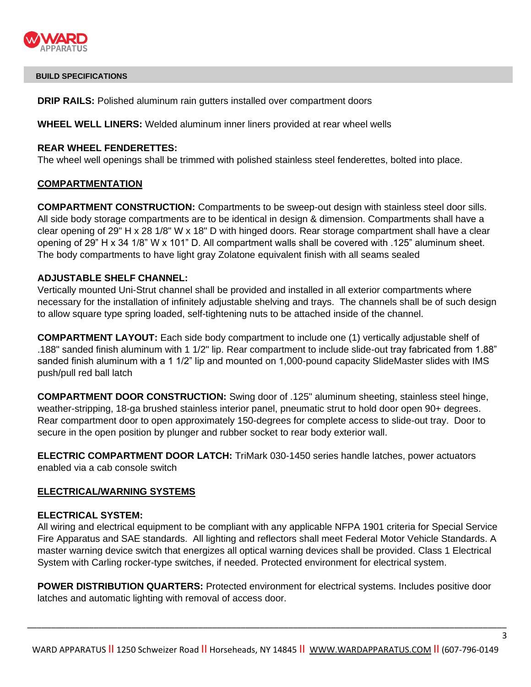

**DRIP RAILS:** Polished aluminum rain gutters installed over compartment doors

**WHEEL WELL LINERS:** Welded aluminum inner liners provided at rear wheel wells

## **REAR WHEEL FENDERETTES:**

The wheel well openings shall be trimmed with polished stainless steel fenderettes, bolted into place.

# **COMPARTMENTATION**

**COMPARTMENT CONSTRUCTION:** Compartments to be sweep-out design with stainless steel door sills. All side body storage compartments are to be identical in design & dimension. Compartments shall have a clear opening of 29" H x 28 1/8" W x 18" D with hinged doors. Rear storage compartment shall have a clear opening of 29" H x 34 1/8" W x 101" D. All compartment walls shall be covered with .125" aluminum sheet. The body compartments to have light gray Zolatone equivalent finish with all seams sealed

# **ADJUSTABLE SHELF CHANNEL:**

Vertically mounted Uni-Strut channel shall be provided and installed in all exterior compartments where necessary for the installation of infinitely adjustable shelving and trays. The channels shall be of such design to allow square type spring loaded, self-tightening nuts to be attached inside of the channel.

**COMPARTMENT LAYOUT:** Each side body compartment to include one (1) vertically adjustable shelf of .188" sanded finish aluminum with 1 1/2" lip. Rear compartment to include slide-out tray fabricated from 1.88" sanded finish aluminum with a 1 1/2" lip and mounted on 1,000-pound capacity SlideMaster slides with IMS push/pull red ball latch

**COMPARTMENT DOOR CONSTRUCTION:** Swing door of .125" aluminum sheeting, stainless steel hinge, weather-stripping, 18-ga brushed stainless interior panel, pneumatic strut to hold door open 90+ degrees. Rear compartment door to open approximately 150-degrees for complete access to slide-out tray. Door to secure in the open position by plunger and rubber socket to rear body exterior wall.

**ELECTRIC COMPARTMENT DOOR LATCH:** TriMark 030-1450 series handle latches, power actuators enabled via a cab console switch

# **ELECTRICAL/WARNING SYSTEMS**

## **ELECTRICAL SYSTEM:**

All wiring and electrical equipment to be compliant with any applicable NFPA 1901 criteria for Special Service Fire Apparatus and SAE standards. All lighting and reflectors shall meet Federal Motor Vehicle Standards. A master warning device switch that energizes all optical warning devices shall be provided. Class 1 Electrical System with Carling rocker-type switches, if needed. Protected environment for electrical system.

**POWER DISTRIBUTION QUARTERS:** Protected environment for electrical systems. Includes positive door latches and automatic lighting with removal of access door.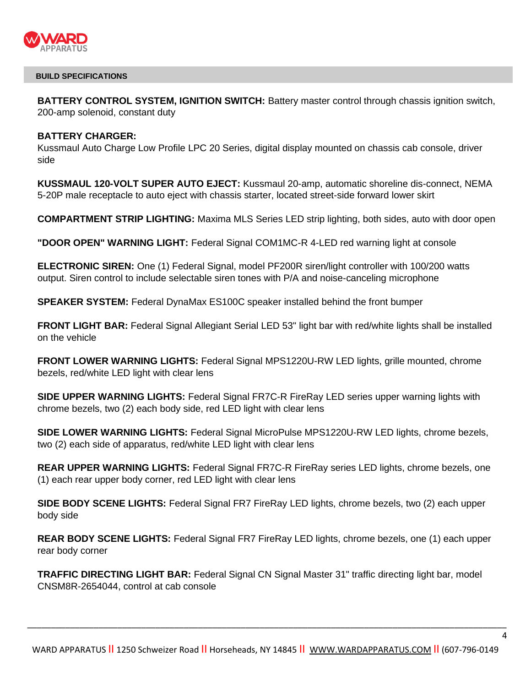

**BATTERY CONTROL SYSTEM, IGNITION SWITCH:** Battery master control through chassis ignition switch, 200-amp solenoid, constant duty

### **BATTERY CHARGER:**

Kussmaul Auto Charge Low Profile LPC 20 Series, digital display mounted on chassis cab console, driver side

**KUSSMAUL 120-VOLT SUPER AUTO EJECT:** Kussmaul 20-amp, automatic shoreline dis-connect, NEMA 5-20P male receptacle to auto eject with chassis starter, located street-side forward lower skirt

**COMPARTMENT STRIP LIGHTING:** Maxima MLS Series LED strip lighting, both sides, auto with door open

**"DOOR OPEN" WARNING LIGHT:** Federal Signal COM1MC-R 4-LED red warning light at console

**ELECTRONIC SIREN:** One (1) Federal Signal, model PF200R siren/light controller with 100/200 watts output. Siren control to include selectable siren tones with P/A and noise-canceling microphone

**SPEAKER SYSTEM:** Federal DynaMax ES100C speaker installed behind the front bumper

**FRONT LIGHT BAR:** Federal Signal Allegiant Serial LED 53" light bar with red/white lights shall be installed on the vehicle

**FRONT LOWER WARNING LIGHTS:** Federal Signal MPS1220U-RW LED lights, grille mounted, chrome bezels, red/white LED light with clear lens

**SIDE UPPER WARNING LIGHTS:** Federal Signal FR7C-R FireRay LED series upper warning lights with chrome bezels, two (2) each body side, red LED light with clear lens

**SIDE LOWER WARNING LIGHTS:** Federal Signal MicroPulse MPS1220U-RW LED lights, chrome bezels, two (2) each side of apparatus, red/white LED light with clear lens

**REAR UPPER WARNING LIGHTS:** Federal Signal FR7C-R FireRay series LED lights, chrome bezels, one (1) each rear upper body corner, red LED light with clear lens

**SIDE BODY SCENE LIGHTS:** Federal Signal FR7 FireRay LED lights, chrome bezels, two (2) each upper body side

**REAR BODY SCENE LIGHTS:** Federal Signal FR7 FireRay LED lights, chrome bezels, one (1) each upper rear body corner

**TRAFFIC DIRECTING LIGHT BAR:** Federal Signal CN Signal Master 31" traffic directing light bar, model CNSM8R-2654044, control at cab console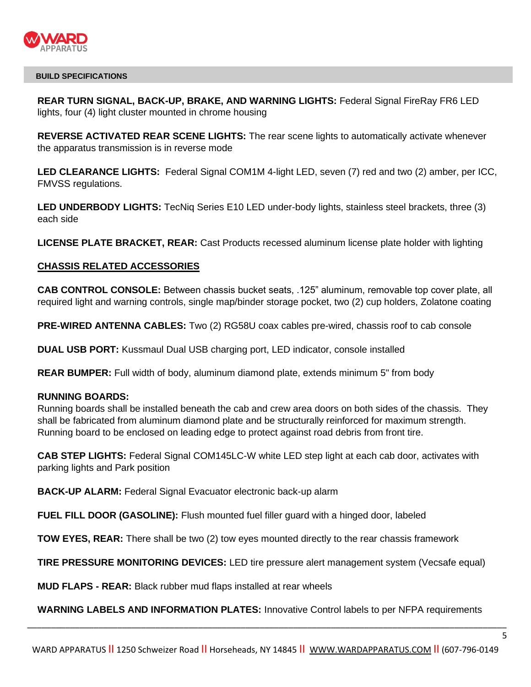

**REAR TURN SIGNAL, BACK-UP, BRAKE, AND WARNING LIGHTS:** Federal Signal FireRay FR6 LED lights, four (4) light cluster mounted in chrome housing

**REVERSE ACTIVATED REAR SCENE LIGHTS:** The rear scene lights to automatically activate whenever the apparatus transmission is in reverse mode

**LED CLEARANCE LIGHTS:** Federal Signal COM1M 4-light LED, seven (7) red and two (2) amber, per ICC, FMVSS regulations.

**LED UNDERBODY LIGHTS:** TecNiq Series E10 LED under-body lights, stainless steel brackets, three (3) each side

**LICENSE PLATE BRACKET, REAR:** Cast Products recessed aluminum license plate holder with lighting

# **CHASSIS RELATED ACCESSORIES**

**CAB CONTROL CONSOLE:** Between chassis bucket seats, .125" aluminum, removable top cover plate, all required light and warning controls, single map/binder storage pocket, two (2) cup holders, Zolatone coating

**PRE-WIRED ANTENNA CABLES:** Two (2) RG58U coax cables pre-wired, chassis roof to cab console

**DUAL USB PORT:** Kussmaul Dual USB charging port, LED indicator, console installed

**REAR BUMPER:** Full width of body, aluminum diamond plate, extends minimum 5" from body

### **RUNNING BOARDS:**

Running boards shall be installed beneath the cab and crew area doors on both sides of the chassis. They shall be fabricated from aluminum diamond plate and be structurally reinforced for maximum strength. Running board to be enclosed on leading edge to protect against road debris from front tire.

**CAB STEP LIGHTS:** Federal Signal COM145LC-W white LED step light at each cab door, activates with parking lights and Park position

**BACK-UP ALARM:** Federal Signal Evacuator electronic back-up alarm

**FUEL FILL DOOR (GASOLINE):** Flush mounted fuel filler guard with a hinged door, labeled

**TOW EYES, REAR:** There shall be two (2) tow eyes mounted directly to the rear chassis framework

**TIRE PRESSURE MONITORING DEVICES:** LED tire pressure alert management system (Vecsafe equal)

**MUD FLAPS - REAR:** Black rubber mud flaps installed at rear wheels

**WARNING LABELS AND INFORMATION PLATES:** Innovative Control labels to per NFPA requirements